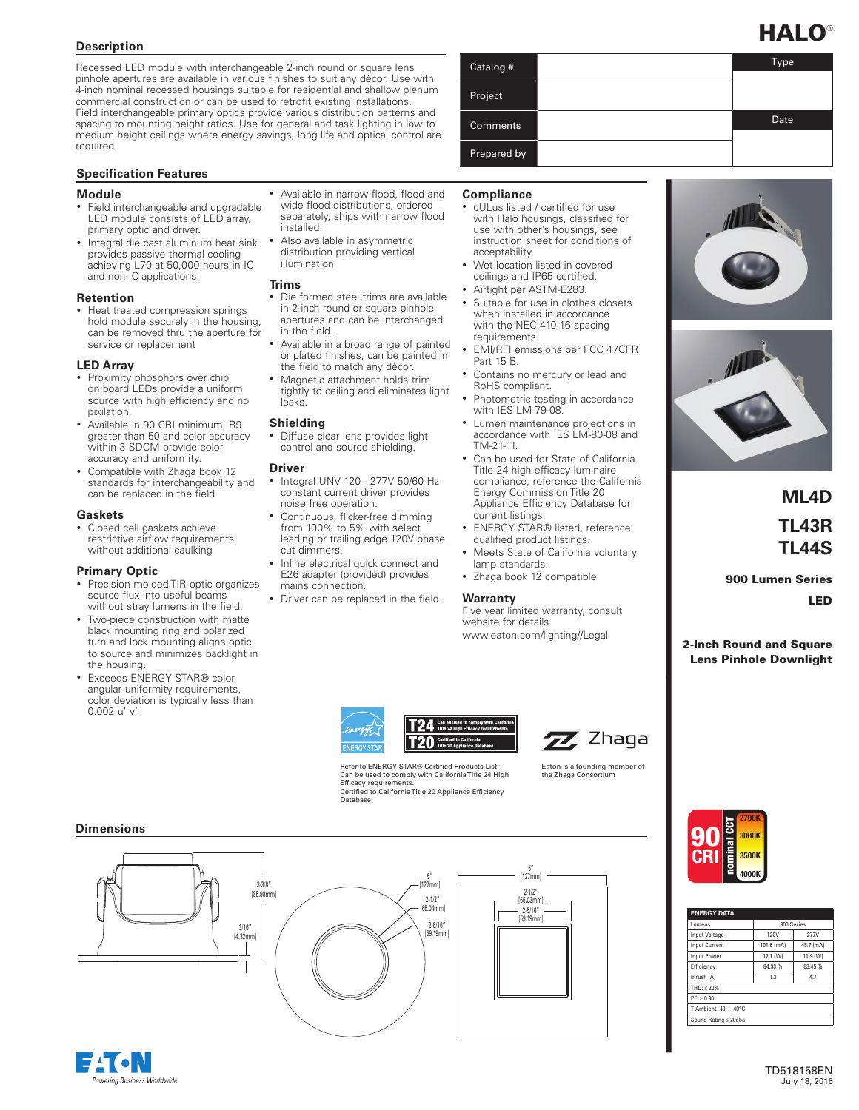### **Description**

Recessed LED module with interchangeable 2-inch round or square lens pinhole apertures are available in various finishes to suit any décor. Use with 4-inch nominal recessed housings suitable for residential and shallow plenum commercial construction or can be used to retrofit existing installations. Field interchangeable primary optics provide various distribution patterns and spacing to mounting height ratios. Use for general and task lighting in low to medium height ceilings where energy savings, long life and optical control are required.

#### **Specification Features**

#### **Module**

- Field interchangeable and upgradable LED module consists of LED array, primary optic and driver.
- Integral die cast aluminum heat sink provides passive thermal cooling achieving L70 at 50,000 hours in IC and non-IC applications.

#### **Retention**

• Heat treated compression springs hold module securely in the housing, can be removed thru the aperture for service or replacement

#### **LED Array**

- Proximity phosphors over chip on board LEDs provide a uniform source with high efficiency and no pixilation.
- Available in 90 CRI minimum, R9 greater than 50 and color accuracy within 3 SDCM provide color accuracy and uniformity.
- Compatible with Zhaga book 12 standards for interchangeability and can be replaced in the field

#### **Gaskets**

• Closed cell gaskets achieve restrictive airflow requirements without additional caulking

#### **Primary Optic**

- Precision molded TIR optic organizes source flux into useful beams without stray lumens in the field.
- Two-piece construction with matte black mounting ring and polarized turn and lock mounting aligns optic to source and minimizes backlight in the housing.
- Exceeds ENERGY STAR® color angular uniformity requirements, color deviation is typically less than 0.002 u' v'.

#### • Available in narrow flood, flood and wide flood distributions, ordered separately, ships with narrow flood installed.

Also available in asymmetric distribution providing vertical illumination

#### **Trims**

- Die formed steel trims are available in 2-inch round or square pinhole apertures and can be interchanged in the field.
- Available in a broad range of painted or plated finishes, can be painted in the field to match any décor.
- Magnetic attachment holds trim tightly to ceiling and eliminates light leaks.

#### **Shielding**

• Diffuse clear lens provides light control and source shielding.

#### **Driver**

- Integral UNV 120 277V 50/60 Hz constant current driver provides noise free operation.
- Continuous, flicker-free dimming from 100% to 5% with select leading or trailing edge 120V phase cut dimmers.
- Inline electrical quick connect and E26 adapter (provided) provides mains connection.
- Driver can be replaced in the field.

# Catalog # Type Project **Comments** Date Date Prepared by

#### **Compliance**

- cULus listed / certified for use with Halo housings, classified for use with other's housings, see instruction sheet for conditions of acceptability.
- Wet location listed in covered ceilings and IP65 certified.
- Airtight per ASTM-E283.
- Suitable for use in clothes closets when installed in accordance with the NEC 410.16 spacing requirements
- EMI/RFI emissions per FCC 47CFR Part 15 B.
- Contains no mercury or lead and RoHS compliant.
- Photometric testing in accordance with IES LM-79-08.
- Lumen maintenance projections in accordance with IES LM-80-08 and TM-21-11.
- Can be used for State of California Title 24 high efficacy luminaire Title 24 high efficacy luminaire<br>compliance, reference the California<br>Energy Commission Title 20 Energy Commission Title 20 Energy Commission Litle 20<br>Appliance Efficiency Database for current listings.
- ENERGY STAR® listed, reference qualified product listings.
- Meets State of California voluntary lamp standards.
	- Zhaga book 12 compatible.

### **Warranty**

Five year limited warranty, consult website for details. www.eaton.com/lighting//Legal



Refer to ENERGY STAR® Certified Products List. Can be used to comply with California Title 24 High Efficacy requirements. Certified to California Title 20 Appliance Efficiency



90 2700Knominal

Eaton is a founding member of the Zhaga Consortium





Database.





# **ML4D TL43R TL44S**

900 Lumen Series LED

2-Inch Round and Square Lens Pinhole Downlight



| <b>ENERGY DATA</b>    |            |           |  |
|-----------------------|------------|-----------|--|
| <b>Lumens</b>         | 900 Series |           |  |
| Input Voltage         | 120V       | 277V      |  |
| <b>Input Current</b>  | 101.6 (mA) | 45.7 (mA) |  |
| <b>Input Power</b>    | 12.1 (W)   | 11.9 (W)  |  |
| Efficiency            | 84.93%     | 83.45 %   |  |
| Inrush (A)            | 1.3        | 4.7       |  |
| $THD: < 20\%$         |            |           |  |
| PF: > 0.90            |            |           |  |
| T Ambient -40 - +40°C |            |           |  |
| Sound Rating ≤ 20dba  |            |           |  |

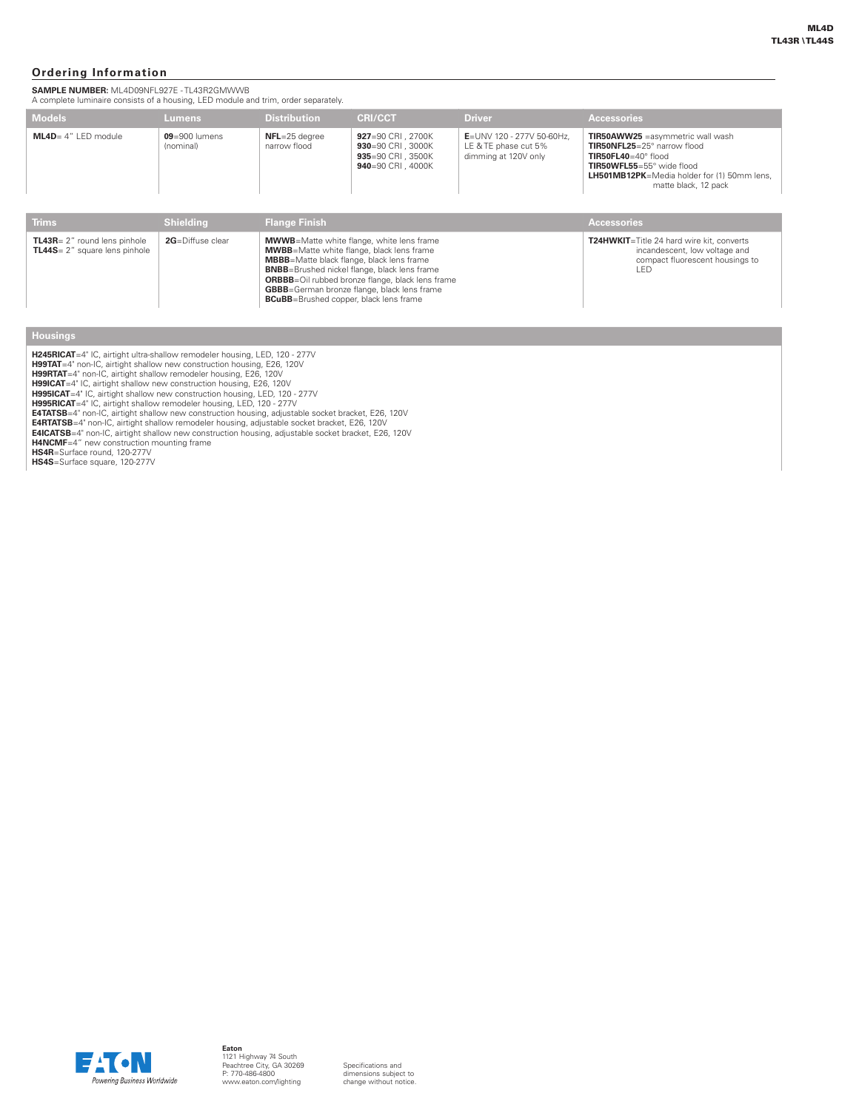#### **Ordering Information**

**SAMPLE NUMBER:** ML4D09NFL927E - TL43R2GMWWB

| A complete luminaire consists of a housing, LED module and trim, order separately. |                                |                                                                                                                                                                                                                                                                                                                                        |                                                                                    |                                                                                                                      |                                                                                                                                                                                                                       |
|------------------------------------------------------------------------------------|--------------------------------|----------------------------------------------------------------------------------------------------------------------------------------------------------------------------------------------------------------------------------------------------------------------------------------------------------------------------------------|------------------------------------------------------------------------------------|----------------------------------------------------------------------------------------------------------------------|-----------------------------------------------------------------------------------------------------------------------------------------------------------------------------------------------------------------------|
| <b>Models</b>                                                                      | <b>Lumens</b>                  | <b>Distribution</b>                                                                                                                                                                                                                                                                                                                    | <b>CRI/CCT</b>                                                                     | <b>Driver</b>                                                                                                        | <b>Accessories</b>                                                                                                                                                                                                    |
| $ML4D = 4" LED module$                                                             | $09 = 900$ lumens<br>(nominal) | $NFL = 25$ degree<br>narrow flood                                                                                                                                                                                                                                                                                                      | 927=90 CRI . 2700K<br>930=90 CRI, 3000K<br>935=90 CRI, 3500K<br>940=90 CRI , 4000K | E=UNV 120 - 277V 50-60Hz.<br>LE & TE phase cut 5%<br>dimming at 120V only                                            | <b>TIR50AWW25</b> = asymmetric wall wash<br>TIR50NFL25=25° narrow flood<br>$TIR50FL40 = 40^{\circ}$ flood<br>TIR50WFL55=55° wide flood<br><b>LH501MB12PK</b> =Media holder for (1) 50mm lens.<br>matte black, 12 pack |
| <b>Trims</b>                                                                       | <b>Shielding</b>               | <b>Flange Finish</b>                                                                                                                                                                                                                                                                                                                   |                                                                                    |                                                                                                                      | <b>Accessories</b>                                                                                                                                                                                                    |
| TL43R= 2" round lens pinhole<br>TL44S= 2" square lens pinhole                      | 2G=Diffuse clear               | <b>MWWB</b> =Matte white flange, white lens frame<br><b>MWBB</b> =Matte white flange, black lens frame<br><b>MBBB</b> =Matte black flange, black lens frame<br><b>BNBB</b> =Brushed nickel flange, black lens frame<br><b>ORBBB</b> =Oil rubbed bronze flange, black lens frame<br><b>GBBB</b> =German bronze flange, black lens frame |                                                                                    | T24HWKIT=Title 24 hard wire kit, converts<br>incandescent, low voltage and<br>compact fluorescent housings to<br>LED |                                                                                                                                                                                                                       |

**BCuBB**=Brushed copper, black lens frame

#### **Housings**

**H245RICAT**=4" IC, airtight ultra-shallow remodeler housing, LED, 120 - 277V<br>**H99TAT**=4" non-IC, airtight shallow new construction housing, E26, 120V<br>**H99RTAT**=4" non-IC, airtight shallow new construction housing, E26, 120

**E4ICATSB=**4" non-IC, airtight shallow new construction housing, adjustable socket bracket, E26, 120V<br>**H4NCMF=**4" new construction mounting frame<br>**HS4R=**Surface round, 120-277V

**HS4S**=Surface square, 120-277V